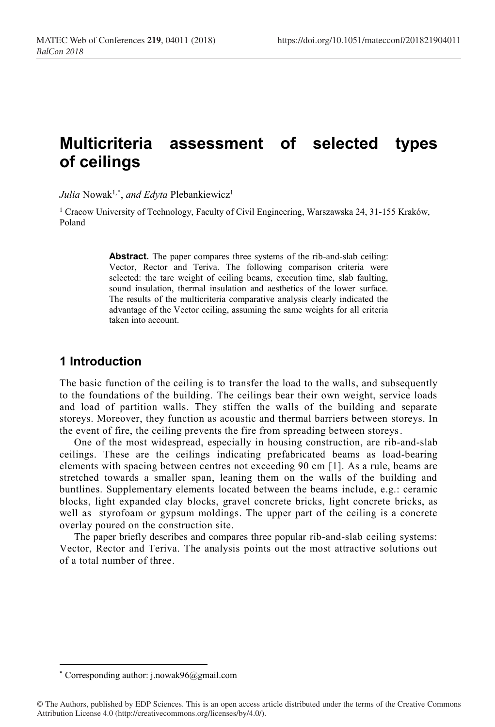# **Multicriteria assessment of selected types of ceilings**

*Julia* Nowak<sup>1,\*</sup>, *and Edyta* Plebankiewicz<sup>1</sup>

<sup>1</sup> Cracow University of Technology, Faculty of Civil Engineering, Warszawska 24, 31-155 Kraków, Poland

> **Abstract.** The paper compares three systems of the rib-and-slab ceiling: Vector, Rector and Teriva. The following comparison criteria were selected: the tare weight of ceiling beams, execution time, slab faulting, sound insulation, thermal insulation and aesthetics of the lower surface. The results of the multicriteria comparative analysis clearly indicated the advantage of the Vector ceiling, assuming the same weights for all criteria taken into account.

# **1 Introduction**

The basic function of the ceiling is to transfer the load to the walls, and subsequently to the foundations of the building. The ceilings bear their own weight, service loads and load of partition walls. They stiffen the walls of the building and separate storeys. Moreover, they function as acoustic and thermal barriers between storeys. In the event of fire, the ceiling prevents the fire from spreading between storeys.

One of the most widespread, especially in housing construction, are rib-and-slab ceilings. These are the ceilings indicating prefabricated beams as load-bearing elements with spacing between centres not exceeding 90 cm [1]. As a rule, beams are stretched towards a smaller span, leaning them on the walls of the building and buntlines. Supplementary elements located between the beams include, e.g.: ceramic blocks, light expanded clay blocks, gravel concrete bricks, light concrete bricks, as well as styrofoam or gypsum moldings. The upper part of the ceiling is a concrete overlay poured on the construction site.

The paper briefly describes and compares three popular rib-and-slab ceiling systems: Vector, Rector and Teriva. The analysis points out the most attractive solutions out of a total number of three.

**.** 

<sup>\*</sup> Corresponding author: j.nowak96@gmail.com

<sup>©</sup> The Authors, published by EDP Sciences. This is an open access article distributed under the terms of the Creative Commons Attribution License 4.0 (http://creativecommons.org/licenses/by/4.0/).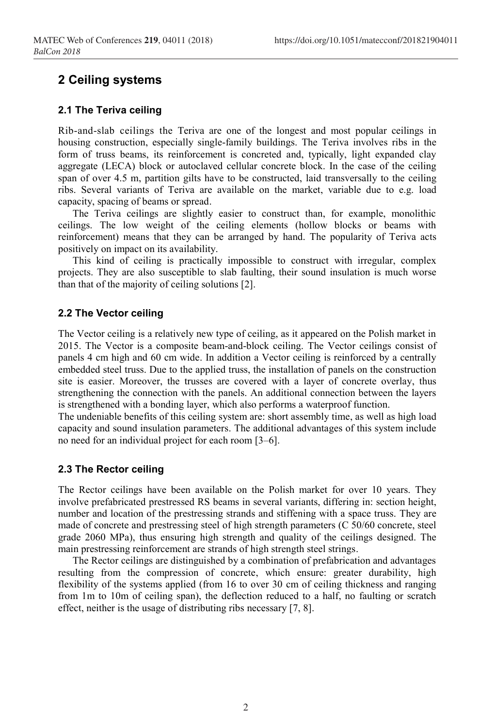# **2 Ceiling systems**

## **2.1 The Teriva ceiling**

Rib-and-slab ceilings the Teriva are one of the longest and most popular ceilings in housing construction, especially single-family buildings. The Teriva involves ribs in the form of truss beams, its reinforcement is concreted and, typically, light expanded clay aggregate (LECA) block or autoclaved cellular concrete block. In the case of the ceiling span of over 4.5 m, partition gilts have to be constructed, laid transversally to the ceiling ribs. Several variants of Teriva are available on the market, variable due to e.g. load capacity, spacing of beams or spread.

The Teriva ceilings are slightly easier to construct than, for example, monolithic ceilings. The low weight of the ceiling elements (hollow blocks or beams with reinforcement) means that they can be arranged by hand. The popularity of Teriva acts positively on impact on its availability.

This kind of ceiling is practically impossible to construct with irregular, complex projects. They are also susceptible to slab faulting, their sound insulation is much worse than that of the majority of ceiling solutions [2].

## **2.2 The Vector ceiling**

The Vector ceiling is a relatively new type of ceiling, as it appeared on the Polish market in 2015. The Vector is a composite beam-and-block ceiling. The Vector ceilings consist of panels 4 cm high and 60 cm wide. In addition a Vector ceiling is reinforced by a centrally embedded steel truss. Due to the applied truss, the installation of panels on the construction site is easier. Moreover, the trusses are covered with a layer of concrete overlay, thus strengthening the connection with the panels. An additional connection between the layers is strengthened with a bonding layer, which also performs a waterproof function.

The undeniable benefits of this ceiling system are: short assembly time, as well as high load capacity and sound insulation parameters. The additional advantages of this system include no need for an individual project for each room [3–6].

### **2.3 The Rector ceiling**

The Rector ceilings have been available on the Polish market for over 10 years. They involve prefabricated prestressed RS beams in several variants, differing in: section height, number and location of the prestressing strands and stiffening with a space truss. They are made of concrete and prestressing steel of high strength parameters (C 50/60 concrete, steel grade 2060 MPa), thus ensuring high strength and quality of the ceilings designed. The main prestressing reinforcement are strands of high strength steel strings.

The Rector ceilings are distinguished by a combination of prefabrication and advantages resulting from the compression of concrete, which ensure: greater durability, high flexibility of the systems applied (from 16 to over 30 cm of ceiling thickness and ranging from 1m to 10m of ceiling span), the deflection reduced to a half, no faulting or scratch effect, neither is the usage of distributing ribs necessary [7, 8].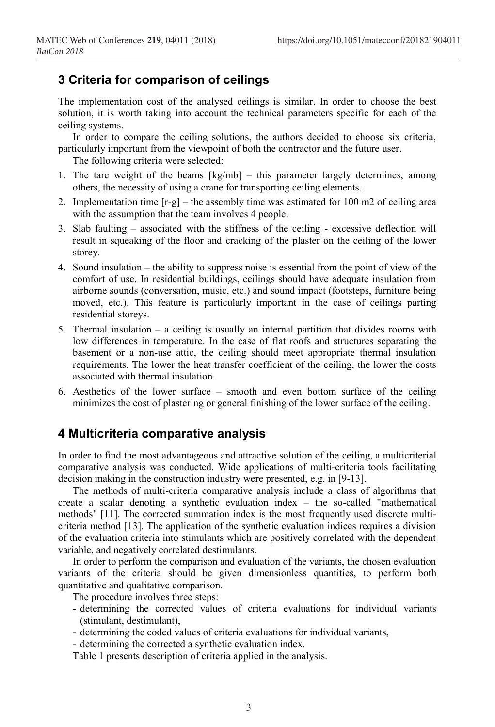# **3 Criteria for comparison of ceilings**

The implementation cost of the analysed ceilings is similar. In order to choose the best solution, it is worth taking into account the technical parameters specific for each of the ceiling systems.

In order to compare the ceiling solutions, the authors decided to choose six criteria, particularly important from the viewpoint of both the contractor and the future user.

The following criteria were selected:

- 1. The tare weight of the beams [kg/mb] this parameter largely determines, among others, the necessity of using a crane for transporting ceiling elements.
- 2. Implementation time  $[r-g]$  the assembly time was estimated for 100 m2 of ceiling area with the assumption that the team involves 4 people.
- 3. Slab faulting associated with the stiffness of the ceiling excessive deflection will result in squeaking of the floor and cracking of the plaster on the ceiling of the lower storey.
- 4. Sound insulation the ability to suppress noise is essential from the point of view of the comfort of use. In residential buildings, ceilings should have adequate insulation from airborne sounds (conversation, music, etc.) and sound impact (footsteps, furniture being moved, etc.). This feature is particularly important in the case of ceilings parting residential storeys.
- 5. Thermal insulation a ceiling is usually an internal partition that divides rooms with low differences in temperature. In the case of flat roofs and structures separating the basement or a non-use attic, the ceiling should meet appropriate thermal insulation requirements. The lower the heat transfer coefficient of the ceiling, the lower the costs associated with thermal insulation.
- 6. Aesthetics of the lower surface smooth and even bottom surface of the ceiling minimizes the cost of plastering or general finishing of the lower surface of the ceiling.

## **4 Multicriteria comparative analysis**

In order to find the most advantageous and attractive solution of the ceiling, a multicriterial comparative analysis was conducted. Wide applications of multi-criteria tools facilitating decision making in the construction industry were presented, e.g. in [9-13].

The methods of multi-criteria comparative analysis include a class of algorithms that create a scalar denoting a synthetic evaluation index – the so-called "mathematical methods" [11]. The corrected summation index is the most frequently used discrete multicriteria method [13]. The application of the synthetic evaluation indices requires a division of the evaluation criteria into stimulants which are positively correlated with the dependent variable, and negatively correlated destimulants.

In order to perform the comparison and evaluation of the variants, the chosen evaluation variants of the criteria should be given dimensionless quantities, to perform both quantitative and qualitative comparison.

The procedure involves three steps:

- determining the corrected values of criteria evaluations for individual variants (stimulant, destimulant),
- determining the coded values of criteria evaluations for individual variants,
- determining the corrected a synthetic evaluation index.

Table 1 presents description of criteria applied in the analysis.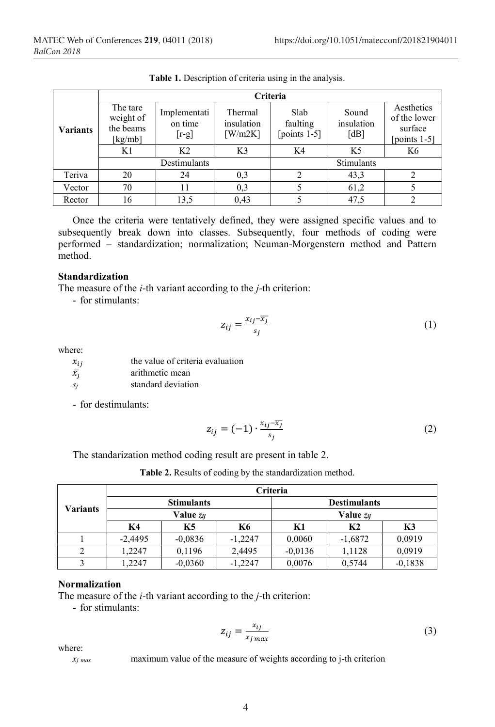|          | <b>Criteria</b>                               |                                    |                                               |                                     |                             |                                                          |
|----------|-----------------------------------------------|------------------------------------|-----------------------------------------------|-------------------------------------|-----------------------------|----------------------------------------------------------|
| Variants | The tare<br>weight of<br>the beams<br>[kg/mb] | Implementati<br>on time<br>$[r-g]$ | Thermal<br>insulation<br>$\left\lceil$ W/m2K] | Slab<br>faulting<br>[points $1-5$ ] | Sound<br>insulation<br>[dB] | Aesthetics<br>of the lower<br>surface<br>[points $1-5$ ] |
|          | K1                                            | K <sub>2</sub>                     | K3                                            | K4                                  | K <sub>5</sub>              | K6                                                       |
|          |                                               | Destimulants                       |                                               |                                     | Stimulants                  |                                                          |
| Teriva   | 20                                            | 24                                 | 0,3                                           | 2                                   | 43,3                        |                                                          |
| Vector   | 70                                            | 11                                 | 0,3                                           |                                     | 61,2                        |                                                          |
| Rector   | 16                                            | 13,5                               | 0,43                                          |                                     | 47,5                        |                                                          |

**Table 1.** Description of criteria using in the analysis.

Once the criteria were tentatively defined, they were assigned specific values and to subsequently break down into classes. Subsequently, four methods of coding were performed – standardization; normalization; Neuman-Morgenstern method and Pattern method.

### **Standardization**

The measure of the *i*-th variant according to the *j*-th criterion:

- for stimulants:

$$
z_{ij} = \frac{x_{ij} - \overline{x_j}}{s_j} \tag{1}
$$

where:

| $x_{ii}$    | the value of criteria evaluation |
|-------------|----------------------------------|
| $\bar{x}_i$ | arithmetic mean                  |
| -Si         | standard deviation               |

- for destimulants:

$$
z_{ij} = (-1) \cdot \frac{x_{ij} - \overline{x_j}}{s_j} \tag{2}
$$

The standarization method coding result are present in table 2.

|                 | <b>Criteria</b>       |                   |                       |           |                     |           |
|-----------------|-----------------------|-------------------|-----------------------|-----------|---------------------|-----------|
|                 |                       | <b>Stimulants</b> |                       |           | <b>Destimulants</b> |           |
| <b>Variants</b> | Value z <sub>ii</sub> |                   | Value z <sub>ii</sub> |           |                     |           |
|                 | K <sub>4</sub>        | K5                | <b>K6</b>             | K1        | K <sub>2</sub>      | K3        |
|                 | $-2,4495$             | $-0.0836$         | $-1,2247$             | 0,0060    | $-1,6872$           | 0,0919    |
|                 | 1.2247                | 0,1196            | 2,4495                | $-0.0136$ | 1,1128              | 0,0919    |
|                 | 1.2247                | $-0.0360$         | $-1,2247$             | 0,0076    | 0,5744              | $-0,1838$ |

**Table 2.** Results of coding by the standardization method.

#### **Normalization**

The measure of the *i*-th variant according to the *j*-th criterion:

- for stimulants:

$$
z_{ij} = \frac{x_{ij}}{x_{j \max}}
$$
 (3)

where:

 $x_j$  *max* maximum value of the measure of weights according to j-th criterion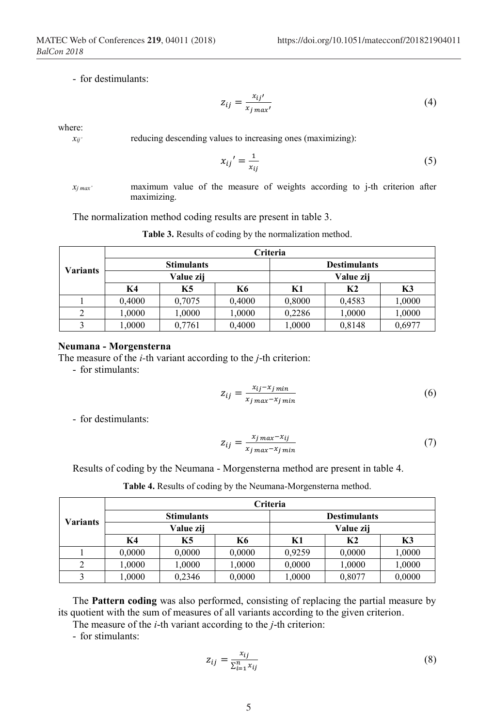- for destimulants:

$$
z_{ij} = \frac{x_{ij'}}{x_{j \max'}}
$$
 (4)

where:

 $x_{ij'}$  reducing descending values to increasing ones (maximizing):

$$
x_{ij}' = \frac{1}{x_{ij}}\tag{5}
$$

*xj max'* maximum value of the measure of weights according to j-th criterion after maximizing.

The normalization method coding results are present in table 3.

|          |        |                   |        | <b>Criteria</b> |                     |        |
|----------|--------|-------------------|--------|-----------------|---------------------|--------|
|          |        | <b>Stimulants</b> |        |                 | <b>Destimulants</b> |        |
| Variants |        | Value zij         |        | Value zij       |                     |        |
|          | K4     | K5                | K6     | K1              | K <sub>2</sub>      | K3     |
|          | 0,4000 | 0,7075            | 0,4000 | 0.8000          | 0,4583              | 1,0000 |
| 2        | 1.0000 | 1,0000            | 1,0000 | 0,2286          | 1,0000              | 1,0000 |
| 3        | 1,0000 | 0,7761            | 0,4000 | 1,0000          | 0.8148              | 0,6977 |

**Table 3.** Results of coding by the normalization method.

#### **Neumana - Morgensterna**

The measure of the *i-*th variant according to the *j*-th criterion:

- for stimulants:

$$
z_{ij} = \frac{x_{ij} - x_{j\min}}{x_{j\max} - x_{j\min}}\tag{6}
$$

- for destimulants:

$$
z_{ij} = \frac{x_j \max - x_{ij}}{x_j \max - x_j \min} \tag{7}
$$

Results of coding by the Neumana - Morgensterna method are present in table 4.

|                 |        |                   |        | <b>Criteria</b> |                     |        |
|-----------------|--------|-------------------|--------|-----------------|---------------------|--------|
|                 |        | <b>Stimulants</b> |        |                 | <b>Destimulants</b> |        |
| <b>Variants</b> |        | Value zij         |        | Value zij       |                     |        |
|                 | K4     | <b>K5</b>         | K6     | K1              | K2                  | K3     |
|                 | 0,0000 | 0,0000            | 0,0000 | 0,9259          | 0,0000              | 1,0000 |
|                 | 1,0000 | 1,0000            | 1,0000 | 0,0000          | 1,0000              | 1,0000 |
|                 | 0000.1 | 0,2346            | 0,0000 | 1,0000          | 0,8077              | 0,0000 |

**Table 4.** Results of coding by the Neumana-Morgensterna method.

The **Pattern coding** was also performed, consisting of replacing the partial measure by its quotient with the sum of measures of all variants according to the given criterion.

The measure of the *i*-th variant according to the *j*-th criterion:

- for stimulants:

$$
z_{ij} = \frac{x_{ij}}{\sum_{i=1}^{n} x_{ij}}\tag{8}
$$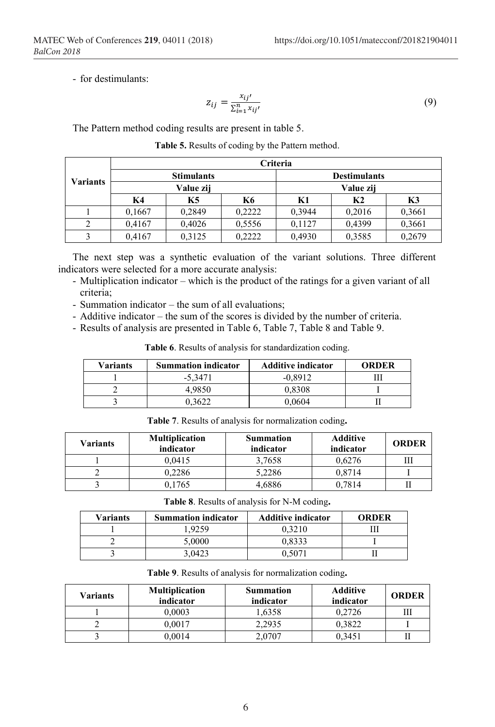- for destimulants:

$$
z_{ij} = \frac{x_{ij'}}{\sum_{i=1}^{n} x_{ij'}}
$$
\n<sup>(9)</sup>

The Pattern method coding results are present in table 5.

|          |        |                   |           | <b>Criteria</b> |                     |        |
|----------|--------|-------------------|-----------|-----------------|---------------------|--------|
|          |        | <b>Stimulants</b> |           |                 | <b>Destimulants</b> |        |
| Variants |        | Value zij         |           | Value zij       |                     |        |
|          | K4     | K5                | <b>K6</b> | K1              | K <sub>2</sub>      | K3     |
|          | 0,1667 | 0,2849            | 0,2222    | 0.3944          | 0.2016              | 0,3661 |
| 2        | 0,4167 | 0,4026            | 0.5556    | 0,1127          | 0,4399              | 0,3661 |
|          | 0,4167 | 0.3125            | 0,2222    | 0.4930          | 0.3585              | 0,2679 |

**Table 5.** Results of coding by the Pattern method.

The next step was a synthetic evaluation of the variant solutions. Three different indicators were selected for a more accurate analysis:

- Multiplication indicator which is the product of the ratings for a given variant of all criteria;
- Summation indicator the sum of all evaluations;
- Additive indicator the sum of the scores is divided by the number of criteria.
- Results of analysis are presented in Table 6, Table 7, Table 8 and Table 9.

| <b>Variants</b> | <b>Summation indicator</b> | <b>Additive indicator</b> | ORDER |
|-----------------|----------------------------|---------------------------|-------|
|                 | -5.3471                    | $-0.8912$                 |       |
|                 | 4.9850                     | 0.8308                    |       |
|                 | ነ 3622                     | 0 0604                    |       |

**Table 7**. Results of analysis for normalization coding**.**

**Table 6**. Results of analysis for standardization coding.

| <b>Variants</b> | <b>Multiplication</b><br>indicator | <b>Summation</b><br>indicator | <b>Additive</b><br>indicator | <b>ORDER</b> |
|-----------------|------------------------------------|-------------------------------|------------------------------|--------------|
|                 | 0.0415                             | 3.7658                        | 0.6276                       |              |
|                 | 0,2286                             | 5,2286                        | 0.8714                       |              |
|                 | 0,1765                             | 4,6886                        | 0.7814                       |              |

| Table 8. Results of analysis for N-M coding. |  |  |  |  |
|----------------------------------------------|--|--|--|--|
|----------------------------------------------|--|--|--|--|

| <b>Variants</b> | <b>Summation indicator</b> | <b>Additive indicator</b> | <b>ORDER</b> |
|-----------------|----------------------------|---------------------------|--------------|
|                 | .9259                      | 0.3210                    |              |
|                 | 5.0000                     | 0.8333                    |              |
|                 | 3.0423                     | 0.5071                    |              |

**Table 9**. Results of analysis for normalization coding**.**

| Variants | <b>Multiplication</b><br>indicator | <b>Summation</b><br>indicator | <b>Additive</b><br>indicator | <b>ORDER</b> |
|----------|------------------------------------|-------------------------------|------------------------------|--------------|
|          | 0.0003                             | 1.6358                        | 0.2726                       |              |
|          | 0.0017                             | 2.2935                        | 0.3822                       |              |
|          | 0,0014                             | 2.0707                        | 0.3451                       |              |